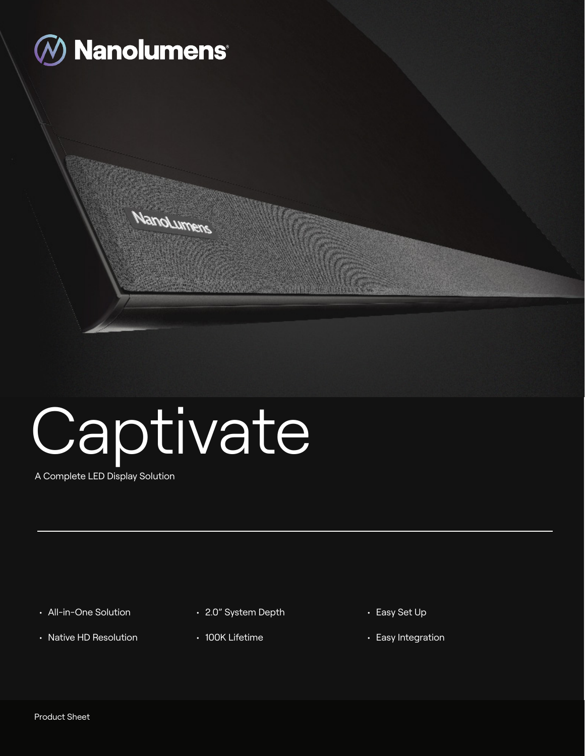

# **Captivate**

**NanoLumers** 

A Complete LED Display Solution

- All-in-One Solution
- Native HD Resolution
- 2.0" System Depth
- 100K Lifetime
- Easy Set Up
- Easy Integration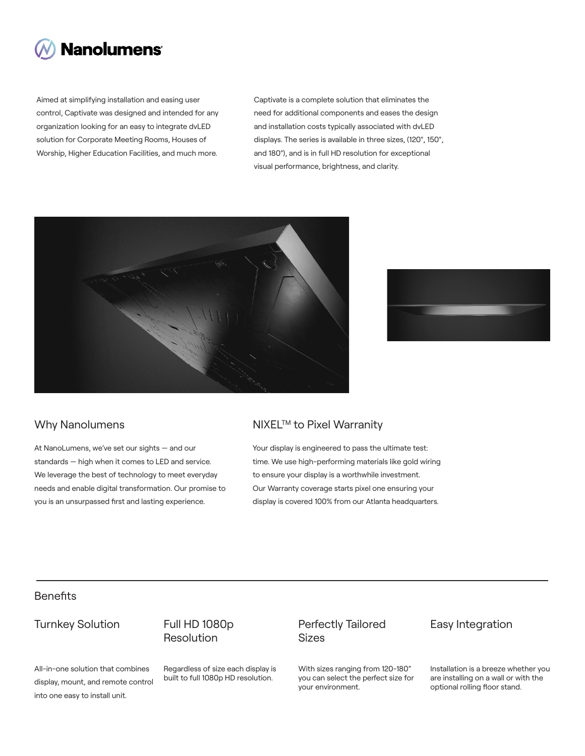

Aimed at simplifying installation and easing user control, Captivate was designed and intended for any organization looking for an easy to integrate dvLED solution for Corporate Meeting Rooms, Houses of Worship, Higher Education Facilities, and much more.

Captivate is a complete solution that eliminates the need for additional components and eases the design and installation costs typically associated with dvLED displays. The series is available in three sizes, (120°, 150°, and 180°), and is in full HD resolution for exceptional visual performance, brightness, and clarity.





At NanoLumens, we've set our sights — and our standards — high when it comes to LED and service. We leverage the best of technology to meet everyday needs and enable digital transformation. Our promise to you is an unsurpassed first and lasting experience.

#### Why Nanolumens NIXEL™ to Pixel Warranity

Your display is engineered to pass the ultimate test: time. We use high-performing materials like gold wiring to ensure your display is a worthwhile investment. Our Warranty coverage starts pixel one ensuring your display is covered 100% from our Atlanta headquarters.

#### **Benefits**

### Turnkey Solution Full HD 1080p

## Resolution

All-in-one solution that combines display, mount, and remote control into one easy to install unit.

Regardless of size each display is built to full 1080p HD resolution.

#### Perfectly Tailored Sizes

With sizes ranging from 120-180" you can select the perfect size for your environment.

#### Easy Integration

Installation is a breeze whether you are installing on a wall or with the optional rolling floor stand.